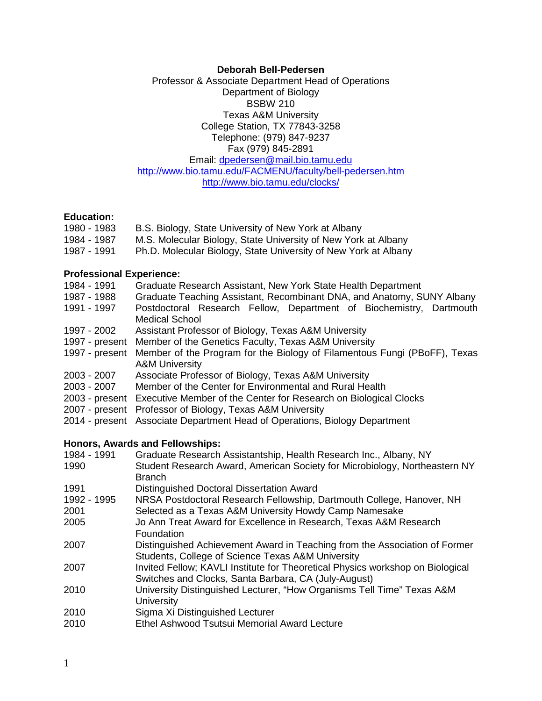#### **Deborah Bell-Pedersen**

Professor & Associate Department Head of Operations Department of Biology BSBW 210 Texas A&M University College Station, TX 77843-3258 Telephone: (979) 847-9237 Fax (979) 845-2891 Email: [dpedersen@mail.bio.tamu.edu](mailto:dpedersen@mail.bio.tamu.edu) <http://www.bio.tamu.edu/FACMENU/faculty/bell-pedersen.htm> <http://www.bio.tamu.edu/clocks/>

#### **Education:**

- 1980 1983 B.S. Biology, State University of New York at Albany
- 1984 1987 M.S. Molecular Biology, State University of New York at Albany
- 1987 1991 Ph.D. Molecular Biology, State University of New York at Albany

#### **Professional Experience:**

- 1984 1991 Graduate Research Assistant, New York State Health Department
- 1987 1988 Graduate Teaching Assistant, Recombinant DNA, and Anatomy, SUNY Albany
- 1991 1997 Postdoctoral Research Fellow, Department of Biochemistry, Dartmouth Medical School
- 1997 2002 Assistant Professor of Biology, Texas A&M University
- 1997 present Member of the Genetics Faculty, Texas A&M University
- 1997 present Member of the Program for the Biology of Filamentous Fungi (PBoFF), Texas A&M University
- 2003 2007 Associate Professor of Biology, Texas A&M University
- 2003 2007 Member of the Center for Environmental and Rural Health
- 2003 present Executive Member of the Center for Research on Biological Clocks
- 2007 present Professor of Biology, Texas A&M University
- 2014 present Associate Department Head of Operations, Biology Department

#### **Honors, Awards and Fellowships:**

| 1984 - 1991 | Graduate Research Assistantship, Health Research Inc., Albany, NY              |
|-------------|--------------------------------------------------------------------------------|
| 1990        | Student Research Award, American Society for Microbiology, Northeastern NY     |
|             | <b>Branch</b>                                                                  |
| 1991        | Distinguished Doctoral Dissertation Award                                      |
| 1992 - 1995 | NRSA Postdoctoral Research Fellowship, Dartmouth College, Hanover, NH          |
| 2001        | Selected as a Texas A&M University Howdy Camp Namesake                         |
| 2005        | Jo Ann Treat Award for Excellence in Research, Texas A&M Research              |
|             | Foundation                                                                     |
| 2007        | Distinguished Achievement Award in Teaching from the Association of Former     |
|             | Students, College of Science Texas A&M University                              |
| 2007        | Invited Fellow; KAVLI Institute for Theoretical Physics workshop on Biological |
|             | Switches and Clocks, Santa Barbara, CA (July-August)                           |
| 2010        | University Distinguished Lecturer, "How Organisms Tell Time" Texas A&M         |
|             | <b>University</b>                                                              |
| 2010        | Sigma Xi Distinguished Lecturer                                                |
| 2010        | Ethel Ashwood Tsutsui Memorial Award Lecture                                   |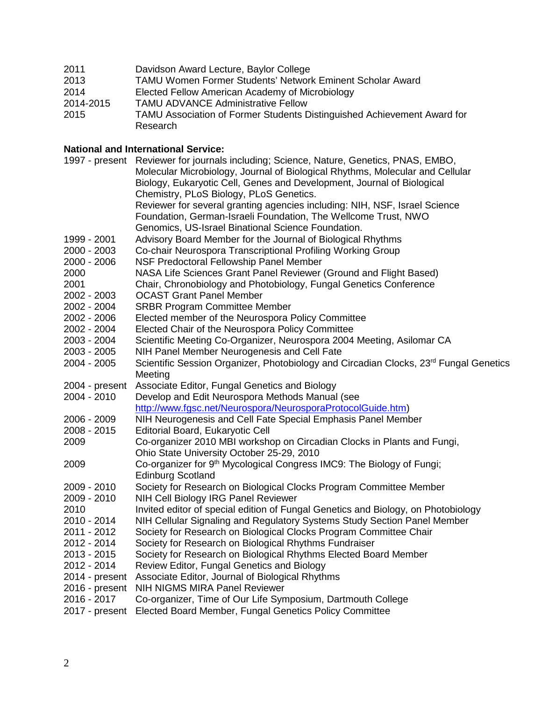| 2011      | Davidson Award Lecture, Baylor College                                  |
|-----------|-------------------------------------------------------------------------|
| 2013      | TAMU Women Former Students' Network Eminent Scholar Award               |
| 2014      | Elected Fellow American Academy of Microbiology                         |
| 2014-2015 | <b>TAMU ADVANCE Administrative Fellow</b>                               |
| 2015      | TAMU Association of Former Students Distinguished Achievement Award for |
|           | Research                                                                |

## **National and International Service:**

|                | 1997 - present Reviewer for journals including; Science, Nature, Genetics, PNAS, EMBO,<br>Molecular Microbiology, Journal of Biological Rhythms, Molecular and Cellular<br>Biology, Eukaryotic Cell, Genes and Development, Journal of Biological |
|----------------|---------------------------------------------------------------------------------------------------------------------------------------------------------------------------------------------------------------------------------------------------|
|                | Chemistry, PLoS Biology, PLoS Genetics.<br>Reviewer for several granting agencies including: NIH, NSF, Israel Science<br>Foundation, German-Israeli Foundation, The Wellcome Trust, NWO                                                           |
|                | Genomics, US-Israel Binational Science Foundation.                                                                                                                                                                                                |
| 1999 - 2001    | Advisory Board Member for the Journal of Biological Rhythms                                                                                                                                                                                       |
| 2000 - 2003    | Co-chair Neurospora Transcriptional Profiling Working Group                                                                                                                                                                                       |
| 2000 - 2006    | NSF Predoctoral Fellowship Panel Member                                                                                                                                                                                                           |
| 2000           | NASA Life Sciences Grant Panel Reviewer (Ground and Flight Based)                                                                                                                                                                                 |
| 2001           | Chair, Chronobiology and Photobiology, Fungal Genetics Conference                                                                                                                                                                                 |
| 2002 - 2003    | <b>OCAST Grant Panel Member</b>                                                                                                                                                                                                                   |
| 2002 - 2004    | <b>SRBR Program Committee Member</b>                                                                                                                                                                                                              |
| 2002 - 2006    | Elected member of the Neurospora Policy Committee                                                                                                                                                                                                 |
| 2002 - 2004    | Elected Chair of the Neurospora Policy Committee                                                                                                                                                                                                  |
| 2003 - 2004    | Scientific Meeting Co-Organizer, Neurospora 2004 Meeting, Asilomar CA                                                                                                                                                                             |
| 2003 - 2005    | NIH Panel Member Neurogenesis and Cell Fate                                                                                                                                                                                                       |
| 2004 - 2005    | Scientific Session Organizer, Photobiology and Circadian Clocks, 23 <sup>rd</sup> Fungal Genetics<br>Meeting                                                                                                                                      |
| 2004 - present | Associate Editor, Fungal Genetics and Biology                                                                                                                                                                                                     |
| 2004 - 2010    | Develop and Edit Neurospora Methods Manual (see                                                                                                                                                                                                   |
|                | http://www.fgsc.net/Neurospora/NeurosporaProtocolGuide.htm)                                                                                                                                                                                       |
| 2006 - 2009    | NIH Neurogenesis and Cell Fate Special Emphasis Panel Member                                                                                                                                                                                      |
| 2008 - 2015    | Editorial Board, Eukaryotic Cell                                                                                                                                                                                                                  |
| 2009           | Co-organizer 2010 MBI workshop on Circadian Clocks in Plants and Fungi,<br>Ohio State University October 25-29, 2010                                                                                                                              |
| 2009           | Co-organizer for 9 <sup>th</sup> Mycological Congress IMC9: The Biology of Fungi;                                                                                                                                                                 |
|                | <b>Edinburg Scotland</b>                                                                                                                                                                                                                          |
| 2009 - 2010    | Society for Research on Biological Clocks Program Committee Member                                                                                                                                                                                |
| 2009 - 2010    | NIH Cell Biology IRG Panel Reviewer                                                                                                                                                                                                               |
| 2010           | Invited editor of special edition of Fungal Genetics and Biology, on Photobiology                                                                                                                                                                 |
| 2010 - 2014    | NIH Cellular Signaling and Regulatory Systems Study Section Panel Member                                                                                                                                                                          |
| 2011 - 2012    | Society for Research on Biological Clocks Program Committee Chair                                                                                                                                                                                 |
| 2012 - 2014    | Society for Research on Biological Rhythms Fundraiser                                                                                                                                                                                             |
| 2013 - 2015    | Society for Research on Biological Rhythms Elected Board Member                                                                                                                                                                                   |
| 2012 - 2014    | Review Editor, Fungal Genetics and Biology                                                                                                                                                                                                        |
| 2014 - present | Associate Editor, Journal of Biological Rhythms                                                                                                                                                                                                   |
| 2016 - present | NIH NIGMS MIRA Panel Reviewer                                                                                                                                                                                                                     |
| 2016 - 2017    | Co-organizer, Time of Our Life Symposium, Dartmouth College                                                                                                                                                                                       |
| 2017 - present | Elected Board Member, Fungal Genetics Policy Committee                                                                                                                                                                                            |
|                |                                                                                                                                                                                                                                                   |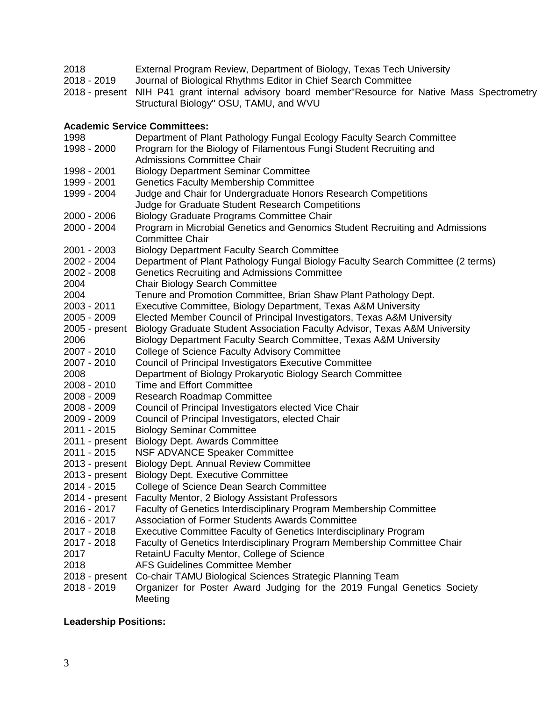| 2018        | External Program Review, Department of Biology, Texas Tech University                             |
|-------------|---------------------------------------------------------------------------------------------------|
| 2018 - 2019 | Journal of Biological Rhythms Editor in Chief Search Committee                                    |
|             | 2018 - present NIH P41 grant internal advisory board member Resource for Native Mass Spectrometry |
|             | Structural Biology" OSU, TAMU, and WVU                                                            |

## **Academic Service Committees:**

| 1998           | Department of Plant Pathology Fungal Ecology Faculty Search Committee              |
|----------------|------------------------------------------------------------------------------------|
| 1998 - 2000    | Program for the Biology of Filamentous Fungi Student Recruiting and                |
|                | <b>Admissions Committee Chair</b>                                                  |
| 1998 - 2001    | <b>Biology Department Seminar Committee</b>                                        |
| 1999 - 2001    | <b>Genetics Faculty Membership Committee</b>                                       |
| 1999 - 2004    | Judge and Chair for Undergraduate Honors Research Competitions                     |
|                | Judge for Graduate Student Research Competitions                                   |
| 2000 - 2006    | <b>Biology Graduate Programs Committee Chair</b>                                   |
| 2000 - 2004    | Program in Microbial Genetics and Genomics Student Recruiting and Admissions       |
|                | <b>Committee Chair</b>                                                             |
| 2001 - 2003    | <b>Biology Department Faculty Search Committee</b>                                 |
| 2002 - 2004    | Department of Plant Pathology Fungal Biology Faculty Search Committee (2 terms)    |
| 2002 - 2008    | <b>Genetics Recruiting and Admissions Committee</b>                                |
| 2004           | <b>Chair Biology Search Committee</b>                                              |
| 2004           | Tenure and Promotion Committee, Brian Shaw Plant Pathology Dept.                   |
| 2003 - 2011    | Executive Committee, Biology Department, Texas A&M University                      |
| 2005 - 2009    | Elected Member Council of Principal Investigators, Texas A&M University            |
| 2005 - present | Biology Graduate Student Association Faculty Advisor, Texas A&M University         |
| 2006           | Biology Department Faculty Search Committee, Texas A&M University                  |
| 2007 - 2010    | College of Science Faculty Advisory Committee                                      |
| 2007 - 2010    | Council of Principal Investigators Executive Committee                             |
| 2008           | Department of Biology Prokaryotic Biology Search Committee                         |
| 2008 - 2010    | <b>Time and Effort Committee</b>                                                   |
| 2008 - 2009    | <b>Research Roadmap Committee</b>                                                  |
| 2008 - 2009    | Council of Principal Investigators elected Vice Chair                              |
| 2009 - 2009    | Council of Principal Investigators, elected Chair                                  |
| 2011 - 2015    | <b>Biology Seminar Committee</b>                                                   |
| 2011 - present | <b>Biology Dept. Awards Committee</b>                                              |
| 2011 - 2015    | NSF ADVANCE Speaker Committee                                                      |
| 2013 - present | <b>Biology Dept. Annual Review Committee</b>                                       |
| 2013 - present | <b>Biology Dept. Executive Committee</b>                                           |
| 2014 - 2015    | College of Science Dean Search Committee                                           |
| 2014 - present | Faculty Mentor, 2 Biology Assistant Professors                                     |
| 2016 - 2017    | Faculty of Genetics Interdisciplinary Program Membership Committee                 |
| 2016 - 2017    | <b>Association of Former Students Awards Committee</b>                             |
| 2017 - 2018    | Executive Committee Faculty of Genetics Interdisciplinary Program                  |
| 2017 - 2018    | Faculty of Genetics Interdisciplinary Program Membership Committee Chair           |
| 2017           | RetainU Faculty Mentor, College of Science                                         |
| 2018           | <b>AFS Guidelines Committee Member</b>                                             |
| 2018 - present | Co-chair TAMU Biological Sciences Strategic Planning Team                          |
| 2018 - 2019    | Organizer for Poster Award Judging for the 2019 Fungal Genetics Society<br>Meeting |
|                |                                                                                    |

# **Leadership Positions:**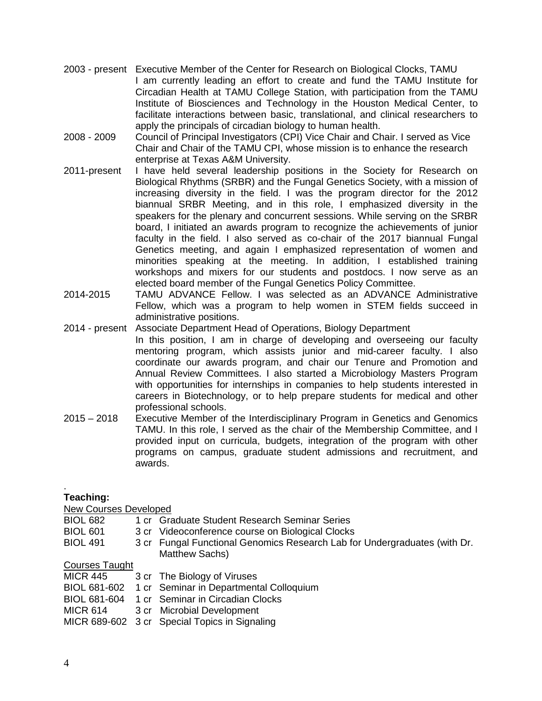- 2003 present Executive Member of the Center for Research on Biological Clocks, TAMU I am currently leading an effort to create and fund the TAMU Institute for Circadian Health at TAMU College Station, with participation from the TAMU Institute of Biosciences and Technology in the Houston Medical Center, to facilitate interactions between basic, translational, and clinical researchers to apply the principals of circadian biology to human health.
- 2008 2009 Council of Principal Investigators (CPI) Vice Chair and Chair. I served as Vice Chair and Chair of the TAMU CPI, whose mission is to enhance the research enterprise at Texas A&M University.
- 2011-present I have held several leadership positions in the Society for Research on Biological Rhythms (SRBR) and the Fungal Genetics Society, with a mission of increasing diversity in the field. I was the program director for the 2012 biannual SRBR Meeting, and in this role, I emphasized diversity in the speakers for the plenary and concurrent sessions. While serving on the SRBR board, I initiated an awards program to recognize the achievements of junior faculty in the field. I also served as co-chair of the 2017 biannual Fungal Genetics meeting, and again I emphasized representation of women and minorities speaking at the meeting. In addition, I established training workshops and mixers for our students and postdocs. I now serve as an elected board member of the Fungal Genetics Policy Committee.
- 2014-2015 TAMU ADVANCE Fellow. I was selected as an ADVANCE Administrative Fellow, which was a program to help women in STEM fields succeed in administrative positions.
- 2014 present Associate Department Head of Operations, Biology Department In this position, I am in charge of developing and overseeing our faculty mentoring program, which assists junior and mid-career faculty. I also coordinate our awards program, and chair our Tenure and Promotion and Annual Review Committees. I also started a Microbiology Masters Program with opportunities for internships in companies to help students interested in careers in Biotechnology, or to help prepare students for medical and other professional schools.
- 2015 2018 Executive Member of the Interdisciplinary Program in Genetics and Genomics TAMU. In this role, I served as the chair of the Membership Committee, and I provided input on curricula, budgets, integration of the program with other programs on campus, graduate student admissions and recruitment, and awards.

#### . **Teaching:**

New Courses Developed

BIOL 682 1 cr Graduate Student Research Seminar Series BIOL 601 3 cr Videoconference course on Biological Clocks BIOL 491 3 cr Fungal Functional Genomics Research Lab for Undergraduates (with Dr. Matthew Sachs) Courses Taught

| <b>MICR 445</b> | 3 cr The Biology of Viruses                          |
|-----------------|------------------------------------------------------|
|                 | BIOL 681-602 1 cr Seminar in Departmental Colloquium |
|                 | BIOL 681-604 1 cr Seminar in Circadian Clocks        |
| <b>MICR 614</b> | 3 cr Microbial Development                           |
|                 | MICR 689-602 3 cr Special Topics in Signaling        |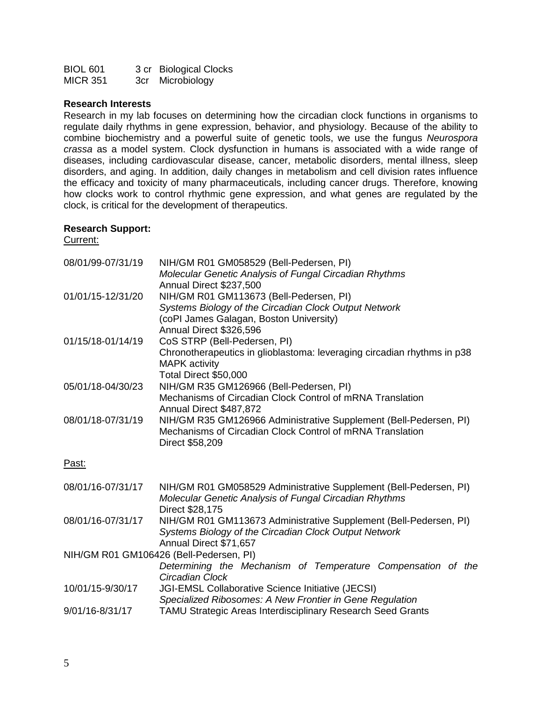| <b>BIOL 601</b> | 3 cr Biological Clocks |
|-----------------|------------------------|
| MICR 351        | 3cr Microbiology       |

#### **Research Interests**

Research in my lab focuses on determining how the circadian clock functions in organisms to regulate daily rhythms in gene expression, behavior, and physiology. Because of the ability to combine biochemistry and a powerful suite of genetic tools, we use the fungus *Neurospora crassa* as a model system. Clock dysfunction in humans is associated with a wide range of diseases, including cardiovascular disease, cancer, metabolic disorders, mental illness, sleep disorders, and aging. In addition, daily changes in metabolism and cell division rates influence the efficacy and toxicity of many pharmaceuticals, including cancer drugs. Therefore, knowing how clocks work to control rhythmic gene expression, and what genes are regulated by the clock, is critical for the development of therapeutics.

#### **Research Support:**

Current:

| 08/01/99-07/31/19 | NIH/GM R01 GM058529 (Bell-Pedersen, PI)<br>Molecular Genetic Analysis of Fungal Circadian Rhythms                                                                      |
|-------------------|------------------------------------------------------------------------------------------------------------------------------------------------------------------------|
| 01/01/15-12/31/20 | Annual Direct \$237,500<br>NIH/GM R01 GM113673 (Bell-Pedersen, PI)<br>Systems Biology of the Circadian Clock Output Network<br>(coPI James Galagan, Boston University) |
| 01/15/18-01/14/19 | Annual Direct \$326,596<br>CoS STRP (Bell-Pedersen, PI)<br>Chronotherapeutics in glioblastoma: leveraging circadian rhythms in p38<br><b>MAPK</b> activity             |
| 05/01/18-04/30/23 | Total Direct \$50,000<br>NIH/GM R35 GM126966 (Bell-Pedersen, PI)<br>Mechanisms of Circadian Clock Control of mRNA Translation<br>Annual Direct \$487,872               |
| 08/01/18-07/31/19 | NIH/GM R35 GM126966 Administrative Supplement (Bell-Pedersen, PI)<br>Mechanisms of Circadian Clock Control of mRNA Translation<br>Direct \$58,209                      |
| Past:             |                                                                                                                                                                        |
| 08/01/16-07/31/17 | NIH/GM R01 GM058529 Administrative Supplement (Bell-Pedersen, PI)<br>Molecular Genetic Analysis of Fungal Circadian Rhythms<br>Direct \$28,175                         |
| 08/01/16-07/31/17 | NIH/GM R01 GM113673 Administrative Supplement (Bell-Pedersen, PI)<br>Systems Biology of the Circadian Clock Output Network<br>Annual Direct \$71,657                   |
|                   | NIH/GM R01 GM106426 (Bell-Pedersen, PI)<br>Determining the Mechanism of Temperature Compensation of the<br>Circadian Clock                                             |
| 10/01/15-9/30/17  | JGI-EMSL Collaborative Science Initiative (JECSI)<br>Specialized Ribosomes: A New Frontier in Gene Regulation                                                          |
| 9/01/16-8/31/17   | <b>TAMU Strategic Areas Interdisciplinary Research Seed Grants</b>                                                                                                     |
|                   |                                                                                                                                                                        |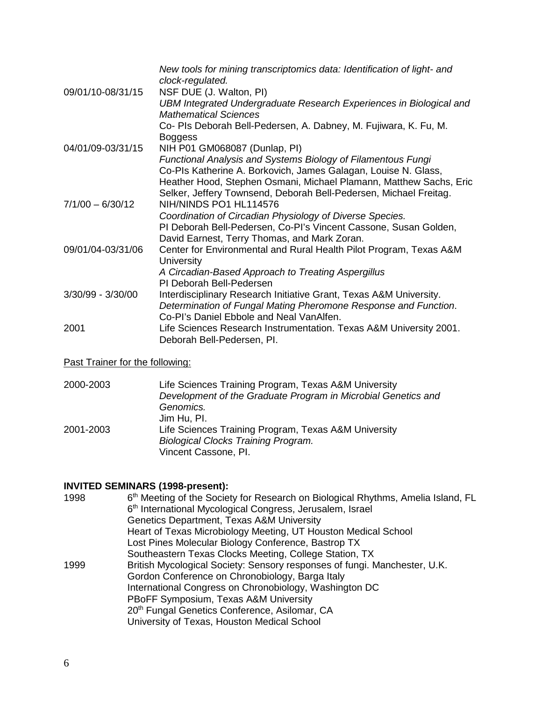| 09/01/10-08/31/15  | New tools for mining transcriptomics data: Identification of light- and<br>clock-regulated.<br>NSF DUE (J. Walton, PI) |
|--------------------|------------------------------------------------------------------------------------------------------------------------|
|                    | UBM Integrated Undergraduate Research Experiences in Biological and<br><b>Mathematical Sciences</b>                    |
|                    | Co- PIs Deborah Bell-Pedersen, A. Dabney, M. Fujiwara, K. Fu, M.<br><b>Boggess</b>                                     |
| 04/01/09-03/31/15  | NIH P01 GM068087 (Dunlap, PI)                                                                                          |
|                    | Functional Analysis and Systems Biology of Filamentous Fungi                                                           |
|                    | Co-Pls Katherine A. Borkovich, James Galagan, Louise N. Glass,                                                         |
|                    | Heather Hood, Stephen Osmani, Michael Plamann, Matthew Sachs, Eric                                                     |
|                    | Selker, Jeffery Townsend, Deborah Bell-Pedersen, Michael Freitag.                                                      |
| $7/1/00 - 6/30/12$ | NIH/NINDS PO1 HL114576                                                                                                 |
|                    | Coordination of Circadian Physiology of Diverse Species.                                                               |
|                    | PI Deborah Bell-Pedersen, Co-PI's Vincent Cassone, Susan Golden,                                                       |
|                    | David Earnest, Terry Thomas, and Mark Zoran.                                                                           |
| 09/01/04-03/31/06  | Center for Environmental and Rural Health Pilot Program, Texas A&M<br><b>University</b>                                |
|                    | A Circadian-Based Approach to Treating Aspergillus                                                                     |
|                    | PI Deborah Bell-Pedersen                                                                                               |
| 3/30/99 - 3/30/00  | Interdisciplinary Research Initiative Grant, Texas A&M University.                                                     |
|                    | Determination of Fungal Mating Pheromone Response and Function.                                                        |
|                    | Co-PI's Daniel Ebbole and Neal VanAlfen.                                                                               |
| 2001               | Life Sciences Research Instrumentation. Texas A&M University 2001.<br>Deborah Bell-Pedersen, Pl.                       |

## Past Trainer for the following:

2000-2003 Life Sciences Training Program, Texas A&M University *Development of the Graduate Program in Microbial Genetics and Genomics.* Jim Hu, PI. 2001-2003 Life Sciences Training Program, Texas A&M University *Biological Clocks Training Program.* Vincent Cassone, PI.

## **INVITED SEMINARS (1998-present):**

| 1998 | 6th Meeting of the Society for Research on Biological Rhythms, Amelia Island, FL |
|------|----------------------------------------------------------------------------------|
|      | 6 <sup>th</sup> International Mycological Congress, Jerusalem, Israel            |
|      | Genetics Department, Texas A&M University                                        |
|      | Heart of Texas Microbiology Meeting, UT Houston Medical School                   |
|      | Lost Pines Molecular Biology Conference, Bastrop TX                              |
|      | Southeastern Texas Clocks Meeting, College Station, TX                           |
| 1999 | British Mycological Society: Sensory responses of fungi. Manchester, U.K.        |
|      | Gordon Conference on Chronobiology, Barga Italy                                  |
|      | International Congress on Chronobiology, Washington DC                           |
|      | PBoFF Symposium, Texas A&M University                                            |
|      | 20 <sup>th</sup> Fungal Genetics Conference, Asilomar, CA                        |
|      | University of Texas, Houston Medical School                                      |
|      |                                                                                  |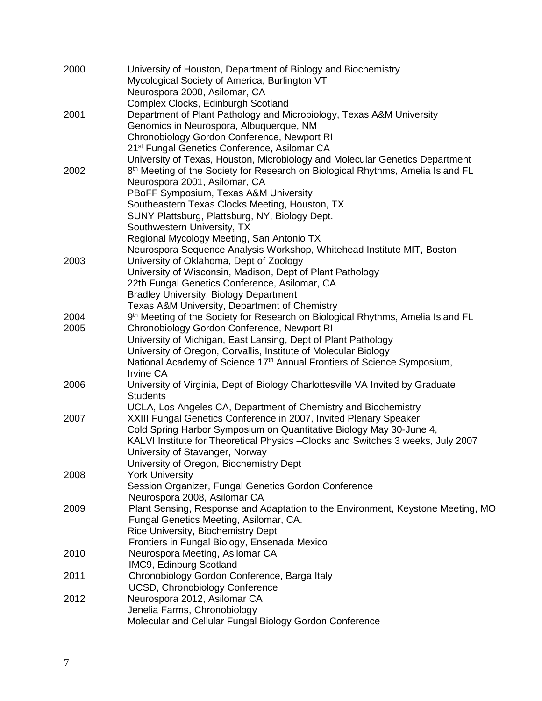| 2000 | University of Houston, Department of Biology and Biochemistry<br>Mycological Society of America, Burlington VT<br>Neurospora 2000, Asilomar, CA                             |
|------|-----------------------------------------------------------------------------------------------------------------------------------------------------------------------------|
| 2001 | Complex Clocks, Edinburgh Scotland<br>Department of Plant Pathology and Microbiology, Texas A&M University                                                                  |
|      | Genomics in Neurospora, Albuquerque, NM<br>Chronobiology Gordon Conference, Newport RI<br>21 <sup>st</sup> Fungal Genetics Conference, Asilomar CA                          |
| 2002 | University of Texas, Houston, Microbiology and Molecular Genetics Department<br>8 <sup>th</sup> Meeting of the Society for Research on Biological Rhythms, Amelia Island FL |
|      | Neurospora 2001, Asilomar, CA                                                                                                                                               |
|      | PBoFF Symposium, Texas A&M University                                                                                                                                       |
|      | Southeastern Texas Clocks Meeting, Houston, TX<br>SUNY Plattsburg, Plattsburg, NY, Biology Dept.                                                                            |
|      | Southwestern University, TX                                                                                                                                                 |
|      | Regional Mycology Meeting, San Antonio TX                                                                                                                                   |
|      | Neurospora Sequence Analysis Workshop, Whitehead Institute MIT, Boston                                                                                                      |
| 2003 | University of Oklahoma, Dept of Zoology                                                                                                                                     |
|      | University of Wisconsin, Madison, Dept of Plant Pathology                                                                                                                   |
|      | 22th Fungal Genetics Conference, Asilomar, CA                                                                                                                               |
|      | <b>Bradley University, Biology Department</b><br>Texas A&M University, Department of Chemistry                                                                              |
| 2004 | 9 <sup>th</sup> Meeting of the Society for Research on Biological Rhythms, Amelia Island FL                                                                                 |
| 2005 | Chronobiology Gordon Conference, Newport RI                                                                                                                                 |
|      | University of Michigan, East Lansing, Dept of Plant Pathology                                                                                                               |
|      | University of Oregon, Corvallis, Institute of Molecular Biology                                                                                                             |
|      | National Academy of Science 17 <sup>th</sup> Annual Frontiers of Science Symposium,                                                                                         |
|      | <b>Irvine CA</b>                                                                                                                                                            |
| 2006 | University of Virginia, Dept of Biology Charlottesville VA Invited by Graduate<br><b>Students</b>                                                                           |
|      | UCLA, Los Angeles CA, Department of Chemistry and Biochemistry                                                                                                              |
| 2007 | XXIII Fungal Genetics Conference in 2007, Invited Plenary Speaker<br>Cold Spring Harbor Symposium on Quantitative Biology May 30-June 4,                                    |
|      | KALVI Institute for Theoretical Physics - Clocks and Switches 3 weeks, July 2007                                                                                            |
|      | University of Stavanger, Norway                                                                                                                                             |
|      | University of Oregon, Biochemistry Dept                                                                                                                                     |
| 2008 | <b>York University</b>                                                                                                                                                      |
|      | Session Organizer, Fungal Genetics Gordon Conference                                                                                                                        |
|      | Neurospora 2008, Asilomar CA                                                                                                                                                |
| 2009 | Plant Sensing, Response and Adaptation to the Environment, Keystone Meeting, MO                                                                                             |
|      | Fungal Genetics Meeting, Asilomar, CA.<br>Rice University, Biochemistry Dept                                                                                                |
|      | Frontiers in Fungal Biology, Ensenada Mexico                                                                                                                                |
| 2010 | Neurospora Meeting, Asilomar CA                                                                                                                                             |
|      | IMC9, Edinburg Scotland                                                                                                                                                     |
| 2011 | Chronobiology Gordon Conference, Barga Italy                                                                                                                                |
|      | <b>UCSD, Chronobiology Conference</b>                                                                                                                                       |
| 2012 | Neurospora 2012, Asilomar CA                                                                                                                                                |
|      | Jenelia Farms, Chronobiology<br>Molecular and Cellular Fungal Biology Gordon Conference                                                                                     |
|      |                                                                                                                                                                             |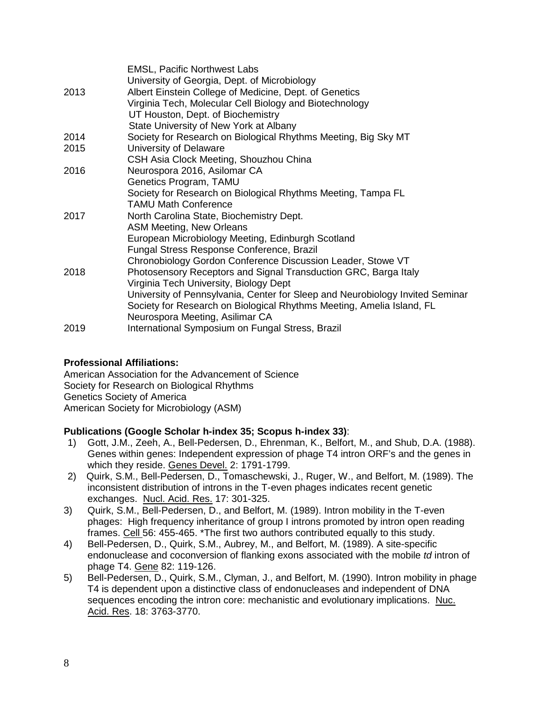|      | <b>EMSL, Pacific Northwest Labs</b>                                           |
|------|-------------------------------------------------------------------------------|
|      | University of Georgia, Dept. of Microbiology                                  |
| 2013 | Albert Einstein College of Medicine, Dept. of Genetics                        |
|      | Virginia Tech, Molecular Cell Biology and Biotechnology                       |
|      | UT Houston, Dept. of Biochemistry                                             |
|      | State University of New York at Albany                                        |
| 2014 | Society for Research on Biological Rhythms Meeting, Big Sky MT                |
| 2015 | University of Delaware                                                        |
|      | CSH Asia Clock Meeting, Shouzhou China                                        |
| 2016 | Neurospora 2016, Asilomar CA                                                  |
|      | Genetics Program, TAMU                                                        |
|      | Society for Research on Biological Rhythms Meeting, Tampa FL                  |
|      | <b>TAMU Math Conference</b>                                                   |
| 2017 | North Carolina State, Biochemistry Dept.                                      |
|      | <b>ASM Meeting, New Orleans</b>                                               |
|      | European Microbiology Meeting, Edinburgh Scotland                             |
|      | Fungal Stress Response Conference, Brazil                                     |
|      | Chronobiology Gordon Conference Discussion Leader, Stowe VT                   |
| 2018 | Photosensory Receptors and Signal Transduction GRC, Barga Italy               |
|      | Virginia Tech University, Biology Dept                                        |
|      | University of Pennsylvania, Center for Sleep and Neurobiology Invited Seminar |
|      | Society for Research on Biological Rhythms Meeting, Amelia Island, FL         |
|      | Neurospora Meeting, Asilimar CA                                               |
| 2019 | International Symposium on Fungal Stress, Brazil                              |
|      |                                                                               |

## **Professional Affiliations:**

American Association for the Advancement of Science Society for Research on Biological Rhythms Genetics Society of America American Society for Microbiology (ASM)

## **Publications (Google Scholar h-index 35; Scopus h-index 33)**:

- 1) Gott, J.M., Zeeh, A., Bell-Pedersen, D., Ehrenman, K., Belfort, M., and Shub, D.A. (1988). Genes within genes: Independent expression of phage T4 intron ORF's and the genes in which they reside. Genes Devel. 2: 1791-1799.
- 2) Quirk, S.M., Bell-Pedersen, D., Tomaschewski, J., Ruger, W., and Belfort, M. (1989). The inconsistent distribution of introns in the T-even phages indicates recent genetic exchanges. Nucl. Acid. Res. 17: 301-325.
- 3) Quirk, S.M., Bell-Pedersen, D., and Belfort, M. (1989). Intron mobility in the T-even phages: High frequency inheritance of group I introns promoted by intron open reading frames. Cell 56: 455-465. \*The first two authors contributed equally to this study.
- 4) Bell-Pedersen, D., Quirk, S.M., Aubrey, M., and Belfort, M. (1989). A site-specific endonuclease and coconversion of flanking exons associated with the mobile *td* intron of phage T4. Gene 82: 119-126.
- 5) Bell-Pedersen, D., Quirk, S.M., Clyman, J., and Belfort, M. (1990). Intron mobility in phage T4 is dependent upon a distinctive class of endonucleases and independent of DNA sequences encoding the intron core: mechanistic and evolutionary implications. Nuc. Acid. Res. 18: 3763-3770.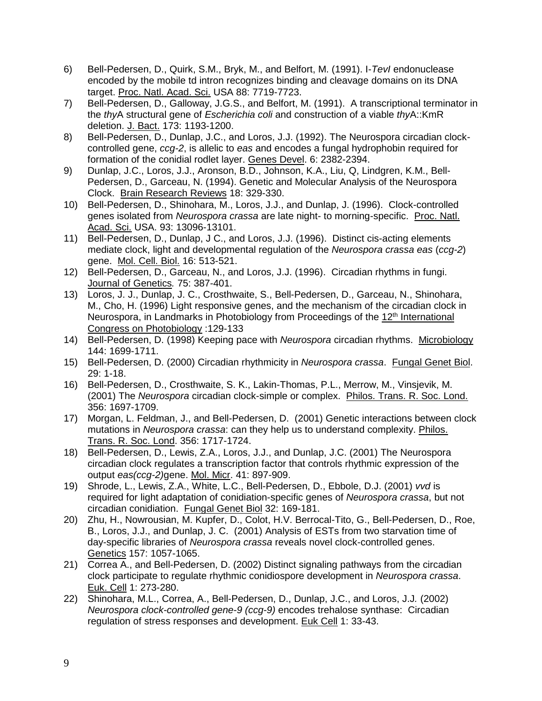- 6) Bell-Pedersen, D., Quirk, S.M., Bryk, M., and Belfort, M. (1991). I-*TevI* endonuclease encoded by the mobile td intron recognizes binding and cleavage domains on its DNA target. Proc. Natl. Acad. Sci. USA 88: 7719-7723.
- 7) Bell-Pedersen, D., Galloway, J.G.S., and Belfort, M. (1991). A transcriptional terminator in the *thy*A structural gene of *Escherichia coli* and construction of a viable *thy*A::KmR deletion. J. Bact. 173: 1193-1200.
- 8) Bell-Pedersen, D., Dunlap, J.C., and Loros, J.J. (1992). The Neurospora circadian clockcontrolled gene, *ccg-2*, is allelic to *eas* and encodes a fungal hydrophobin required for formation of the conidial rodlet layer. Genes Devel. 6: 2382-2394.
- 9) Dunlap, J.C., Loros, J.J., Aronson, B.D., Johnson, K.A., Liu, Q, Lindgren, K.M., Bell-Pedersen, D., Garceau, N. (1994). Genetic and Molecular Analysis of the Neurospora Clock. Brain Research Reviews 18: 329-330.
- 10) Bell-Pedersen, D., Shinohara, M., Loros, J.J., and Dunlap, J. (1996). Clock-controlled genes isolated from *Neurospora crassa* are late night- to morning-specific. Proc. Natl. Acad. Sci. USA. 93: 13096-13101.
- 11) Bell-Pedersen, D., Dunlap, J C., and Loros, J.J. (1996). Distinct cis-acting elements mediate clock, light and developmental regulation of the *Neurospora crassa eas* (*ccg-2*) gene. Mol. Cell. Biol. 16: 513-521.
- 12) Bell-Pedersen, D., Garceau, N., and Loros, J.J. (1996). Circadian rhythms in fungi. Journal of Genetics*.* 75: 387-401.
- 13) Loros, J. J., Dunlap, J. C., Crosthwaite, S., Bell-Pedersen, D., Garceau, N., Shinohara, M., Cho, H. (1996) Light responsive genes, and the mechanism of the circadian clock in Neurospora, in Landmarks in Photobiology from Proceedings of the 12<sup>th</sup> International Congress on Photobiology :129-133
- 14) Bell-Pedersen, D. (1998) Keeping pace with *Neurospora* circadian rhythms. Microbiology 144: 1699-1711.
- 15) Bell-Pedersen, D. (2000) Circadian rhythmicity in *Neurospora crassa*. Fungal Genet Biol. 29: 1-18.
- 16) Bell-Pedersen, D., Crosthwaite, S. K., Lakin-Thomas, P.L., Merrow, M., Vinsjevik, M. (2001) The *Neurospora* circadian clock-simple or complex. Philos. Trans. R. Soc. Lond. 356: 1697-1709.
- 17) Morgan, L. Feldman, J., and Bell-Pedersen, D. (2001) Genetic interactions between clock mutations in *Neurospora crassa*: can they help us to understand complexity. Philos. Trans. R. Soc. Lond. 356: 1717-1724.
- 18) Bell-Pedersen, D., Lewis, Z.A., Loros, J.J., and Dunlap, J.C. (2001) The Neurospora circadian clock regulates a transcription factor that controls rhythmic expression of the output *eas(ccg-2)*gene. Mol. Micr. 41: 897-909.
- 19) Shrode, L., Lewis, Z.A., White, L.C., Bell-Pedersen, D., Ebbole, D.J. (2001) *vvd* is required for light adaptation of conidiation-specific genes of *Neurospora crassa*, but not circadian conidiation. Fungal Genet Biol 32: 169-181.
- 20) Zhu, H., Nowrousian, M. Kupfer, D., Colot, H.V. Berrocal-Tito, G., Bell-Pedersen, D., Roe, B., Loros, J.J., and Dunlap, J. C. (2001) Analysis of ESTs from two starvation time of day-specific libraries of *Neurospora crassa* reveals novel clock-controlled genes. Genetics 157: 1057-1065.
- 21) Correa A., and Bell-Pedersen, D. (2002) Distinct signaling pathways from the circadian clock participate to regulate rhythmic conidiospore development in *Neurospora crassa*. Euk. Cell 1: 273-280.
- 22) Shinohara, M.L., Correa, A., Bell-Pedersen, D., Dunlap, J.C., and Loros, J.J*.* (2002) *Neurospora clock-controlled gene-9 (ccg-9)* encodes trehalose synthase: Circadian regulation of stress responses and development. Euk Cell 1: 33-43.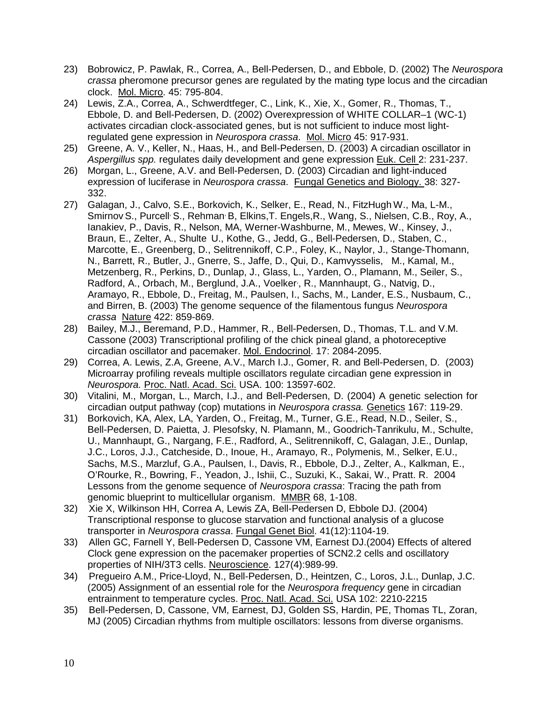- 23) Bobrowicz, P. Pawlak, R., Correa, A., Bell-Pedersen, D., and Ebbole, D. (2002) The *Neurospora crassa* pheromone precursor genes are regulated by the mating type locus and the circadian clock. Mol. Micro. 45: 795-804.
- 24) Lewis, Z.A., Correa, A., Schwerdtfeger, C., Link, K., Xie, X., Gomer, R., Thomas, T., Ebbole, D. and Bell-Pedersen, D. (2002) Overexpression of WHITE COLLAR–1 (WC-1) activates circadian clock-associated genes, but is not sufficient to induce most lightregulated gene expression in *Neurospora crassa*. Mol. Micro 45: 917-931.
- 25) Greene, A. V., Keller, N., Haas, H., and Bell-Pedersen, D. (2003) A circadian oscillator in *Aspergillus spp.* regulates daily development and gene expression Euk. Cell 2: 231-237.
- 26) Morgan, L., Greene, A.V. and Bell-Pedersen, D. (2003) Circadian and light-induced expression of luciferase in *Neurospora crassa*. Fungal Genetics and Biology. 38: 327- 332.
- 27) Galagan, J., Calvo, S.E., Borkovich, K., Selker, E., Read, N., FitzHugh W., Ma, L-M., SmirnovS., Purcell, S., Rehman, B, Elkins,T. Engels,R., Wang, S., Nielsen, C.B., Roy, A., Ianakiev, P., Davis, R., Nelson, MA, Werner-Washburne, M., Mewes, W., Kinsey, J., Braun, E., Zelter, A., Shulte U., Kothe, G., Jedd, G., Bell-Pedersen, D., Staben, C., Marcotte, E., Greenberg, D., Selitrennikoff, C.P., Foley, K., Naylor, J., Stange-Thomann, N., Barrett, R., Butler, J., Gnerre, S., Jaffe, D., Qui, D., Kamvysselis, M., Kamal, M., Metzenberg, R., Perkins, D., Dunlap, J., Glass, L., Yarden, O., Plamann, M., Seiler, S., Radford, A., Orbach, M., Berglund, J.A., Voelker, R., Mannhaupt, G., Natvig, D., Aramayo, R., Ebbole, D., Freitag, M., Paulsen, I., Sachs, M., Lander, E.S., Nusbaum, C., and Birren, B. (2003) The genome sequence of the filamentous fungus *Neurospora crassa* Nature 422: 859-869.
- 28) Bailey, M.J., Beremand, P.D., Hammer, R., Bell-Pedersen, D., Thomas, T.L. and V.M. Cassone (2003) Transcriptional profiling of the chick pineal gland, a photoreceptive circadian oscillator and pacemaker. Mol. Endocrinol. 17: 2084-2095.
- 29) Correa, A. Lewis, Z.A, Greene, A.V., March I.J., Gomer, R. and Bell-Pedersen, D. (2003) Microarray profiling reveals multiple oscillators regulate circadian gene expression in *Neurospora.* Proc. Natl. Acad. Sci. USA. 100: 13597-602.
- 30) Vitalini, M., Morgan, L., March, I.J., and Bell-Pedersen, D. (2004) A genetic selection for circadian output pathway (cop) mutations in *Neurospora crassa.* Genetics 167: 119-29.
- 31) Borkovich, KA, Alex, LA, Yarden, O., Freitag, M., Turner, G.E., Read, N.D., Seiler, S., Bell-Pedersen, D. Paietta, J. Plesofsky, N. Plamann, M., Goodrich-Tanrikulu, M., Schulte, U., Mannhaupt, G., Nargang, F.E., Radford, A., Selitrennikoff, C, Galagan, J.E., Dunlap, J.C., Loros, J.J., Catcheside, D., Inoue, H., Aramayo, R., Polymenis, M., Selker, E.U., Sachs, M.S., Marzluf, G.A., Paulsen, I., Davis, R., Ebbole, D.J., Zelter, A., Kalkman, E., O'Rourke, R., Bowring, F., Yeadon, J., Ishii, C., Suzuki, K., Sakai, W., Pratt. R. 2004 Lessons from the genome sequence of *Neurospora crassa*: Tracing the path from genomic blueprint to multicellular organism. MMBR 68, 1-108.
- 32) Xie X, Wilkinson HH, Correa A, Lewis ZA, Bell-Pedersen D, Ebbole DJ. (2004) Transcriptional response to glucose starvation and functional analysis of a glucose transporter in *Neurospora crassa*. Fungal Genet Biol. 41(12):1104-19.
- 33) Allen GC, Farnell Y, Bell-Pedersen D, Cassone VM, Earnest DJ.(2004) Effects of altered Clock gene expression on the pacemaker properties of SCN2.2 cells and oscillatory properties of NIH/3T3 cells. Neuroscience. 127(4):989-99.
- 34) Pregueiro A.M., Price-Lloyd, N., Bell-Pedersen, D., Heintzen, C., Loros, J.L., Dunlap, J.C. (2005) Assignment of an essential role for the *Neurospora frequency* gene in circadian entrainment to temperature cycles. Proc. Natl. Acad. Sci. USA 102: 2210-2215
- 35) Bell-Pedersen, D, Cassone, VM, Earnest, DJ, Golden SS, Hardin, PE, Thomas TL, Zoran, MJ (2005) Circadian rhythms from multiple oscillators: lessons from diverse organisms.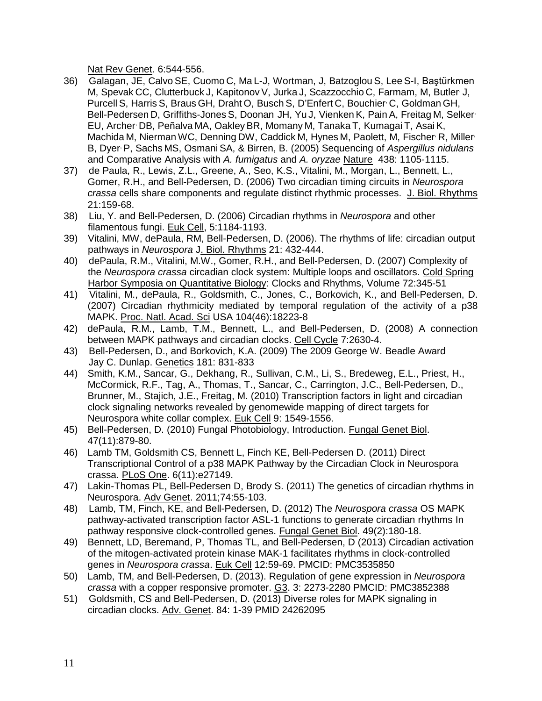Nat Rev Genet. 6:544-556.

- 36) Galagan, JE, Calvo SE, Cuomo C, Ma L-J, Wortman, J, Batzoglou S, Lee S-I, Baştürkmen M, Spevak CC, Clutterbuck J, Kapitonov V, Jurka J, Scazzocchio C, Farmam, M, Butler J, Purcell S, Harris S, Braus GH, Draht O, Busch S, D'Enfert C, Bouchier, C, Goldman GH, Bell-Pedersen D, Griffiths-Jones S, Doonan JH, Yu J, Vienken K, Pain A, Freitag M, Selker, EU, Archer, DB, Peñalva MA, OakleyBR, Momany M, Tanaka T, Kumagai T, Asai K, Machida M, Nierman WC, Denning DW, Caddick M, Hynes M, Paolett, M, Fischer R, Miller B, Dyer, P, Sachs MS, Osmani SA, & Birren, B. (2005) Sequencing of *Aspergillus nidulans* and Comparative Analysis with *A. fumigatus* and *A. oryzae* Nature 438: 1105-1115.
- 37) de Paula, R., Lewis, Z.L., Greene, A., Seo, K.S., Vitalini, M., Morgan, L., Bennett, L., Gomer, R.H., and Bell-Pedersen, D. (2006) Two circadian timing circuits in *Neurospora crassa* cells share components and regulate distinct rhythmic processes. J. Biol. Rhythms 21:159-68.
- 38) Liu, Y. and Bell-Pedersen, D. (2006) Circadian rhythms in *Neurospora* and other filamentous fungi. Euk Cell, 5:1184-1193.
- 39) Vitalini, MW, dePaula, RM, Bell-Pedersen, D. (2006). The rhythms of life: circadian output pathways in *Neurospora* J. Biol. Rhythms 21: 432-444.
- 40) dePaula, R.M., Vitalini, M.W., Gomer, R.H., and Bell-Pedersen, D. (2007) Complexity of the *Neurospora crassa* circadian clock system: Multiple loops and oscillators. Cold Spring Harbor Symposia on Quantitative Biology: Clocks and Rhythms, Volume 72:345-51
- 41) Vitalini, M., dePaula, R., Goldsmith, C., Jones, C., Borkovich, K., and Bell-Pedersen, D. (2007) Circadian rhythmicity mediated by temporal regulation of the activity of a p38 MAPK. Proc. Natl. Acad. Sci USA 104(46):18223-8
- 42) dePaula, R.M., Lamb, T.M., Bennett, L., and Bell-Pedersen, D. (2008) A connection between MAPK pathways and circadian clocks. Cell Cycle 7:2630-4.
- 43) Bell-Pedersen, D., and Borkovich, K.A. (2009) The 2009 George W. Beadle Award Jay C. Dunlap. Genetics 181: 831-833
- 44) Smith, K.M., Sancar, G., Dekhang, R., Sullivan, C.M., Li, S., Bredeweg, E.L., Priest, H., McCormick, R.F., Tag, A., Thomas, T., Sancar, C., Carrington, J.C., Bell-Pedersen, D., Brunner, M., Stajich, J.E., Freitag, M. (2010) [Transcription factors in light and circadian](http://www.ncbi.nlm.nih.gov/pubmed/20675579)  [clock signaling networks revealed by genomewide mapping of direct targets for](http://www.ncbi.nlm.nih.gov/pubmed/20675579)  [Neurospora white collar comp](http://www.ncbi.nlm.nih.gov/pubmed/20675579)lex. Euk Cell 9: 1549-1556.
- 45) Bell-Pedersen, D. (2010) Fungal Photobiology, Introduction. Fungal Genet Biol. 47(11):879-80.
- 46) Lamb TM, Goldsmith CS, Bennett L, Finch KE, Bell-Pedersen D. (2011) [Direct](http://www.ncbi.nlm.nih.gov/pubmed/22087254)  [Transcriptional Control of a p38 MAPK Pathway by the Circadian Clock in Neurospora](http://www.ncbi.nlm.nih.gov/pubmed/22087254)  [crassa.](http://www.ncbi.nlm.nih.gov/pubmed/22087254) PLoS One. 6(11):e27149.
- 47) Lakin-Thomas PL, Bell-Pedersen D, Brody S. (2011) [The genetics of circadian rhythms in](http://www.ncbi.nlm.nih.gov/pubmed/21924975)  [Neurospora.](http://www.ncbi.nlm.nih.gov/pubmed/21924975) Adv Genet. 2011;74:55-103.
- 48) Lamb, TM, Finch, KE, and Bell-Pedersen, D. (2012) The *Neurospora crassa* OS MAPK pathway-activated transcription factor ASL-1 functions to generate circadian rhythms In pathway responsive clock-controlled genes. Fungal Genet Biol. 49(2):180-18.
- 49) Bennett, LD, Beremand, P, Thomas TL, and Bell-Pedersen, D (2013) Circadian activation of the mitogen-activated protein kinase MAK-1 facilitates rhythms in clock-controlled genes in *Neurospora crassa*. Euk Cell 12:59-69. PMCID: PMC3535850
- 50) Lamb, TM, and Bell-Pedersen, D. (2013). Regulation of gene expression in *Neurospora crassa* with a copper responsive promoter. G3. 3: 2273-2280 PMCID: PMC3852388
- 51) Goldsmith, CS and Bell-Pedersen, D. (2013) Diverse roles for MAPK signaling in circadian clocks. Adv. Genet. 84: 1-39 PMID 24262095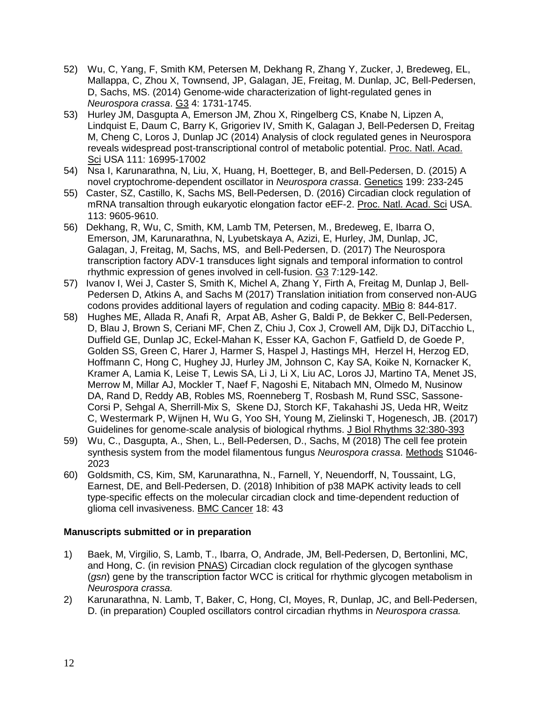- 52) Wu, C, Yang, F, Smith KM, Petersen M, Dekhang R, Zhang Y, Zucker, J, Bredeweg, EL, Mallappa, C, Zhou X, Townsend, JP, Galagan, JE, Freitag, M. Dunlap, JC, Bell-Pedersen, D, Sachs, MS. (2014) Genome-wide characterization of light-regulated genes in *Neurospora crassa*. G3 4: 1731-1745.
- 53) Hurley JM, Dasgupta A, Emerson JM, Zhou X, Ringelberg CS, Knabe N, Lipzen A, Lindquist E, Daum C, Barry K, Grigoriev IV, Smith K, Galagan J, Bell-Pedersen D, Freitag M, Cheng C, Loros J, Dunlap JC (2014) Analysis of clock regulated genes in Neurospora reveals widespread post-transcriptional control of metabolic potential. Proc. Natl. Acad. Sci USA 111: 16995-17002
- 54) Nsa I, Karunarathna, N, Liu, X, Huang, H, Boetteger, B, and Bell-Pedersen, D. (2015) A novel cryptochrome-dependent oscillator in *Neurospora crassa*. Genetics 199: 233-245
- 55) Caster, SZ, Castillo, K, Sachs MS, Bell-Pedersen, D. (2016) Circadian clock regulation of mRNA transaltion through eukaryotic elongation factor eEF-2. Proc. Natl. Acad. Sci USA. 113: 9605-9610.
- 56) Dekhang, R, Wu, C, Smith, KM, Lamb TM, Petersen, M., Bredeweg, E, Ibarra O, Emerson, JM, Karunarathna, N, Lyubetskaya A, Azizi, E, Hurley, JM, Dunlap, JC, Galagan, J, Freitag, M, Sachs, MS, and Bell-Pedersen, D. (2017) The Neurospora transcription factory ADV-1 transduces light signals and temporal information to control rhythmic expression of genes involved in cell-fusion. G3 7:129-142.
- 57) Ivanov I, Wei J, Caster S, Smith K, Michel A, Zhang Y, Firth A, Freitag M, Dunlap J, Bell-Pedersen D, Atkins A, and Sachs M (2017) Translation initiation from conserved non-AUG codons provides additional layers of regulation and coding capacity. MBio 8: 844-817.
- 58) Hughes ME, Allada R, Anafi R, Arpat AB, Asher G, Baldi P, de Bekker C, Bell-Pedersen, D, Blau J, Brown S, Ceriani MF, Chen Z, Chiu J, Cox J, Crowell AM, Dijk DJ, DiTacchio L, Duffield GE, Dunlap JC, Eckel-Mahan K, Esser KA, Gachon F, Gatfield D, de Goede P, Golden SS, Green C, Harer J, Harmer S, Haspel J, Hastings MH, Herzel H, Herzog ED, Hoffmann C, Hong C, Hughey JJ, Hurley JM, Johnson C, Kay SA, Koike N, Kornacker K, Kramer A, Lamia K, Leise T, Lewis SA, Li J, Li X, Liu AC, Loros JJ, Martino TA, Menet JS, Merrow M, Millar AJ, Mockler T, Naef F, Nagoshi E, Nitabach MN, Olmedo M, Nusinow DA, Rand D, Reddy AB, Robles MS, Roenneberg T, Rosbash M, Rund SSC, Sassone-Corsi P, Sehgal A, Sherrill-Mix S, Skene DJ, Storch KF, Takahashi JS, Ueda HR, Weitz C, Westermark P, Wijnen H, Wu G, Yoo SH, Young M, Zielinski T, Hogenesch, JB. (2017) Guidelines for genome-scale analysis of biological rhythms. J Biol Rhythms 32:380-393
- 59) Wu, C., Dasgupta, A., Shen, L., Bell-Pedersen, D., Sachs, M (2018) The cell fee protein synthesis system from the model filamentous fungus *Neurospora crassa*. Methods S1046- 2023
- 60) Goldsmith, CS, Kim, SM, Karunarathna, N., Farnell, Y, Neuendorff, N, Toussaint, LG, Earnest, DE, and Bell-Pedersen, D. (2018) Inhibition of p38 MAPK activity leads to cell type-specific effects on the molecular circadian clock and time-dependent reduction of glioma cell invasiveness. BMC Cancer 18: 43

### **Manuscripts submitted or in preparation**

- 1) Baek, M, Virgilio, S, Lamb, T., Ibarra, O, Andrade, JM, Bell-Pedersen, D, Bertonlini, MC, and Hong, C. (in revision PNAS) Circadian clock regulation of the glycogen synthase (*gsn*) gene by the transcription factor WCC is critical for rhythmic glycogen metabolism in *Neurospora crassa.*
- 2) Karunarathna, N. Lamb, T, Baker, C, Hong, CI, Moyes, R, Dunlap, JC, and Bell-Pedersen, D. (in preparation) Coupled oscillators control circadian rhythms in *Neurospora crassa.*